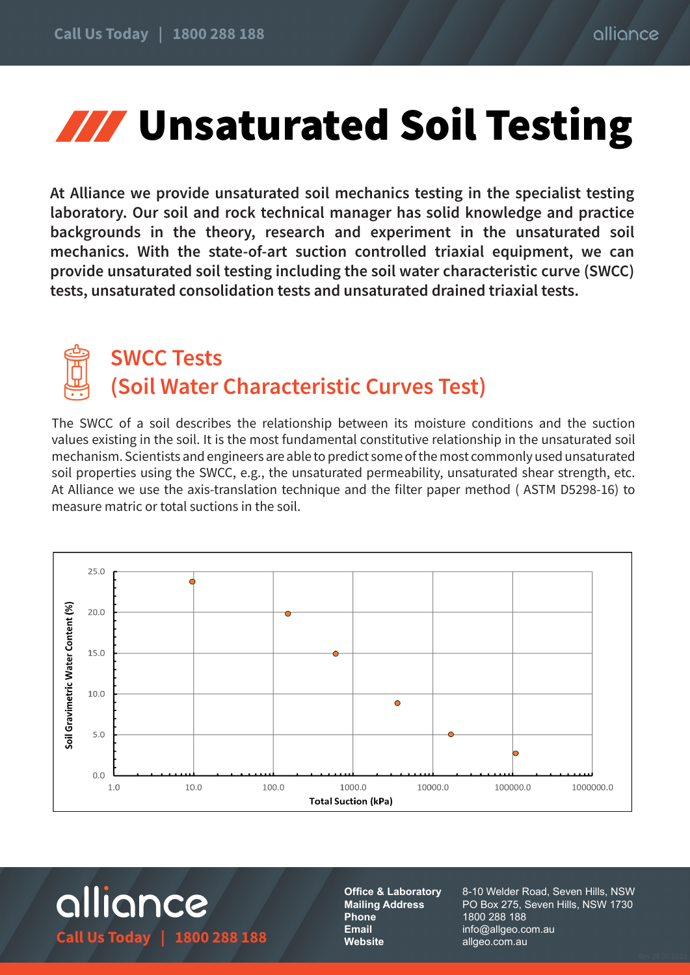## **WWW Unsaturated Soil Testing**

**At Alliance we provide unsaturated soil mechanics testing in the specialist testing laboratory. Our soil and rock technical manager has solid knowledge and practice backgrounds in the theory, research and experiment in the unsaturated soil mechanics. With the state-of-art suction controlled triaxial equipment, we can provide unsaturated soil testing including the soil water characteristic curve (SWCC) tests, unsaturated consolidation tests and unsaturated drained triaxial tests.**



## **SWCC Tests (Soil Water Characteristic Curves Test)**

The SWCC of a soil describes the relationship between its moisture conditions and the suction values existing in the soil. It is the most fundamental constitutive relationship in the unsaturated soil mechanism. Scientists and engineers are able to predict some of the most commonly used unsaturated soil properties using the SWCC, e.g., the unsaturated permeability, unsaturated shear strength, etc. At Alliance we use the axis-translation technique and the filter paper method ( ASTM D5298-16) to measure matric or total suctions in the soil.



alliance **Call Us Today | 1800 288 188**

**Office & Laboratory Mailing Address Phone Email Website**

8-10 Welder Road, Seven Hills, NSW PO Box 275, Seven Hills, NSW 1730 1800 288 188 info@allgeo.com.au allgeo.com.au